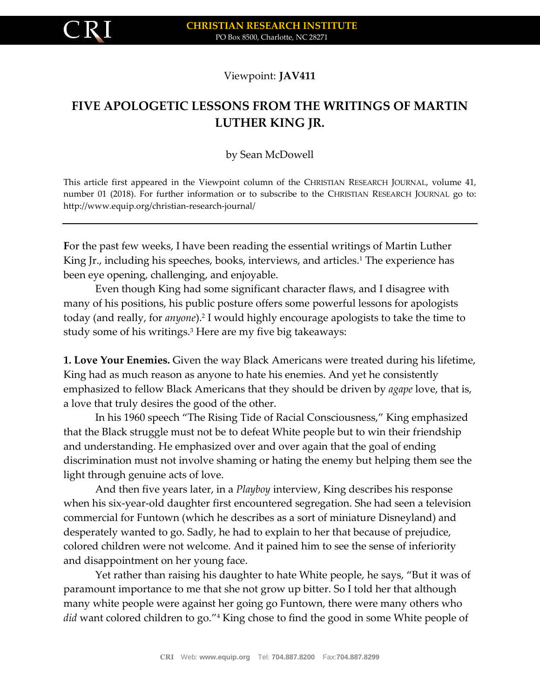

## Viewpoint: **JAV411**

## **FIVE APOLOGETIC LESSONS FROM THE WRITINGS OF MARTIN LUTHER KING JR.**

## by Sean McDowell

This article first appeared in the Viewpoint column of the CHRISTIAN RESEARCH JOURNAL, volume 41, number 01 (2018). For further information or to subscribe to the CHRISTIAN RESEARCH JOURNAL go to: http://www.equip.org/christian-research-journal/

**F**or the past few weeks, I have been reading the essential writings of Martin Luther King Jr., including his speeches, books, interviews, and articles.<sup>1</sup> The experience has been eye opening, challenging, and enjoyable.

Even though King had some significant character flaws, and I disagree with many of his positions, his public posture offers some powerful lessons for apologists today (and really, for *anyone*).<sup>2</sup> I would highly encourage apologists to take the time to study some of his writings.<sup>3</sup> Here are my five big takeaways:

**1. Love Your Enemies.** Given the way Black Americans were treated during his lifetime, King had as much reason as anyone to hate his enemies. And yet he consistently emphasized to fellow Black Americans that they should be driven by *agape* love, that is, a love that truly desires the good of the other.

In his 1960 speech "The Rising Tide of Racial Consciousness," King emphasized that the Black struggle must not be to defeat White people but to win their friendship and understanding. He emphasized over and over again that the goal of ending discrimination must not involve shaming or hating the enemy but helping them see the light through genuine acts of love.

And then five years later, in a *Playboy* interview, King describes his response when his six-year-old daughter first encountered segregation. She had seen a television commercial for Funtown (which he describes as a sort of miniature Disneyland) and desperately wanted to go. Sadly, he had to explain to her that because of prejudice, colored children were not welcome. And it pained him to see the sense of inferiority and disappointment on her young face.

Yet rather than raising his daughter to hate White people, he says, "But it was of paramount importance to me that she not grow up bitter. So I told her that although many white people were against her going go Funtown, there were many others who *did* want colored children to go." <sup>4</sup> King chose to find the good in some White people of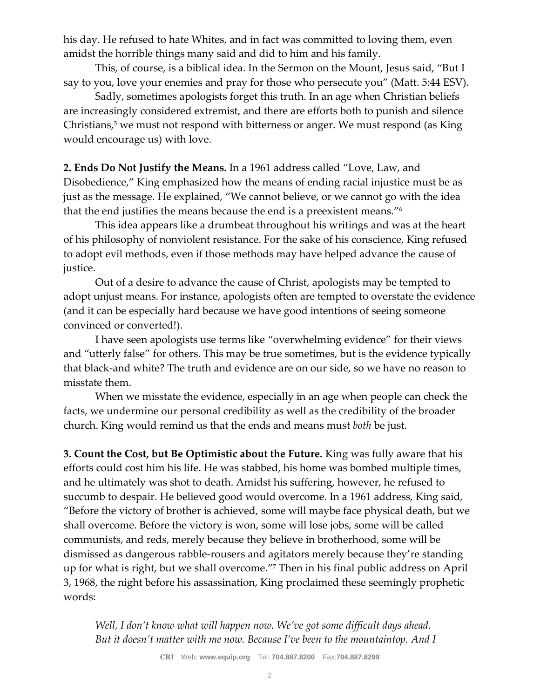his day. He refused to hate Whites, and in fact was committed to loving them, even amidst the horrible things many said and did to him and his family.

This, of course, is a biblical idea. In the Sermon on the Mount, Jesus said, "But I say to you, love your enemies and pray for those who persecute you" (Matt. 5:44 ESV).

Sadly, sometimes apologists forget this truth. In an age when Christian beliefs are increasingly considered extremist, and there are efforts both to punish and silence Christians, $5$  we must not respond with bitterness or anger. We must respond (as King would encourage us) with love.

**2. Ends Do Not Justify the Means.** In a 1961 address called "Love, Law, and Disobedience," King emphasized how the means of ending racial injustice must be as just as the message. He explained, "We cannot believe, or we cannot go with the idea that the end justifies the means because the end is a preexistent means." 6

This idea appears like a drumbeat throughout his writings and was at the heart of his philosophy of nonviolent resistance. For the sake of his conscience, King refused to adopt evil methods, even if those methods may have helped advance the cause of justice.

Out of a desire to advance the cause of Christ, apologists may be tempted to adopt unjust means. For instance, apologists often are tempted to overstate the evidence (and it can be especially hard because we have good intentions of seeing someone convinced or converted!).

I have seen apologists use terms like "overwhelming evidence" for their views and "utterly false" for others. This may be true sometimes, but is the evidence typically that black-and white? The truth and evidence are on our side, so we have no reason to misstate them.

When we misstate the evidence, especially in an age when people can check the facts, we undermine our personal credibility as well as the credibility of the broader church. King would remind us that the ends and means must *both* be just.

**3. Count the Cost, but Be Optimistic about the Future.** King was fully aware that his efforts could cost him his life. He was stabbed, his home was bombed multiple times, and he ultimately was shot to death. Amidst his suffering, however, he refused to succumb to despair. He believed good would overcome. In a 1961 address, King said, "Before the victory of brother is achieved, some will maybe face physical death, but we shall overcome. Before the victory is won, some will lose jobs, some will be called communists, and reds, merely because they believe in brotherhood, some will be dismissed as dangerous rabble-rousers and agitators merely because they're standing up for what is right, but we shall overcome." <sup>7</sup> Then in his final public address on April 3, 1968, the night before his assassination, King proclaimed these seemingly prophetic words:

*Well, I don't know what will happen now. We've got some difficult days ahead. But it doesn't matter with me now. Because I've been to the mountaintop. And I*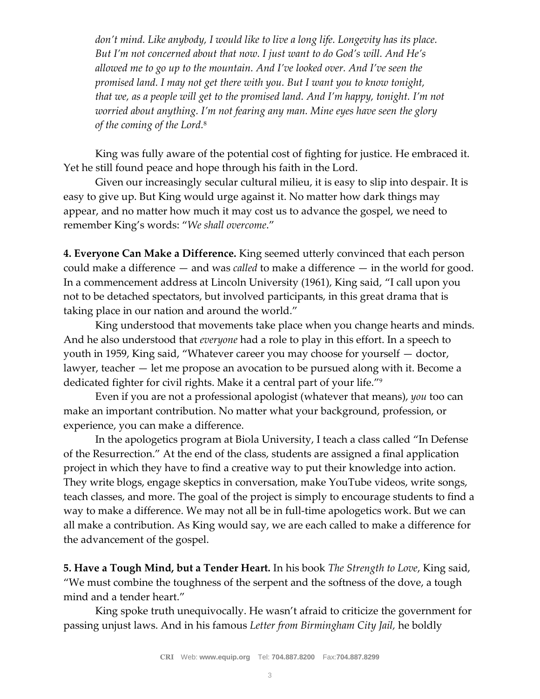*don't mind. Like anybody, I would like to live a long life. Longevity has its place. But I'm not concerned about that now. I just want to do God's will. And He's allowed me to go up to the mountain. And I've looked over. And I've seen the promised land. I may not get there with you. But I want you to know tonight, that we, as a people will get to the promised land. And I'm happy, tonight. I'm not worried about anything. I'm not fearing any man. Mine eyes have seen the glory of the coming of the Lord.*<sup>8</sup>

King was fully aware of the potential cost of fighting for justice. He embraced it. Yet he still found peace and hope through his faith in the Lord.

Given our increasingly secular cultural milieu, it is easy to slip into despair. It is easy to give up. But King would urge against it. No matter how dark things may appear, and no matter how much it may cost us to advance the gospel, we need to remember King's words: "*We shall overcome*."

**4. Everyone Can Make a Difference.** King seemed utterly convinced that each person could make a difference — and was *called* to make a difference — in the world for good. In a commencement address at Lincoln University (1961), King said, "I call upon you not to be detached spectators, but involved participants, in this great drama that is taking place in our nation and around the world."

King understood that movements take place when you change hearts and minds. And he also understood that *everyone* had a role to play in this effort. In a speech to youth in 1959, King said, "Whatever career you may choose for yourself — doctor, lawyer, teacher — let me propose an avocation to be pursued along with it. Become a dedicated fighter for civil rights. Make it a central part of your life." 9

Even if you are not a professional apologist (whatever that means), *you* too can make an important contribution. No matter what your background, profession, or experience, you can make a difference.

In the apologetics program at Biola University, I teach a class called "In Defense of the Resurrection." At the end of the class, students are assigned a final application project in which they have to find a creative way to put their knowledge into action. They write blogs, engage skeptics in conversation, make YouTube videos, write songs, teach classes, and more. The goal of the project is simply to encourage students to find a way to make a difference. We may not all be in full-time apologetics work. But we can all make a contribution. As King would say, we are each called to make a difference for the advancement of the gospel.

**5. Have a Tough Mind, but a Tender Heart.** In his book *The Strength to Love*, King said, "We must combine the toughness of the serpent and the softness of the dove, a tough mind and a tender heart."

King spoke truth unequivocally. He wasn't afraid to criticize the government for passing unjust laws. And in his famous *Letter from Birmingham City Jail,* he boldly